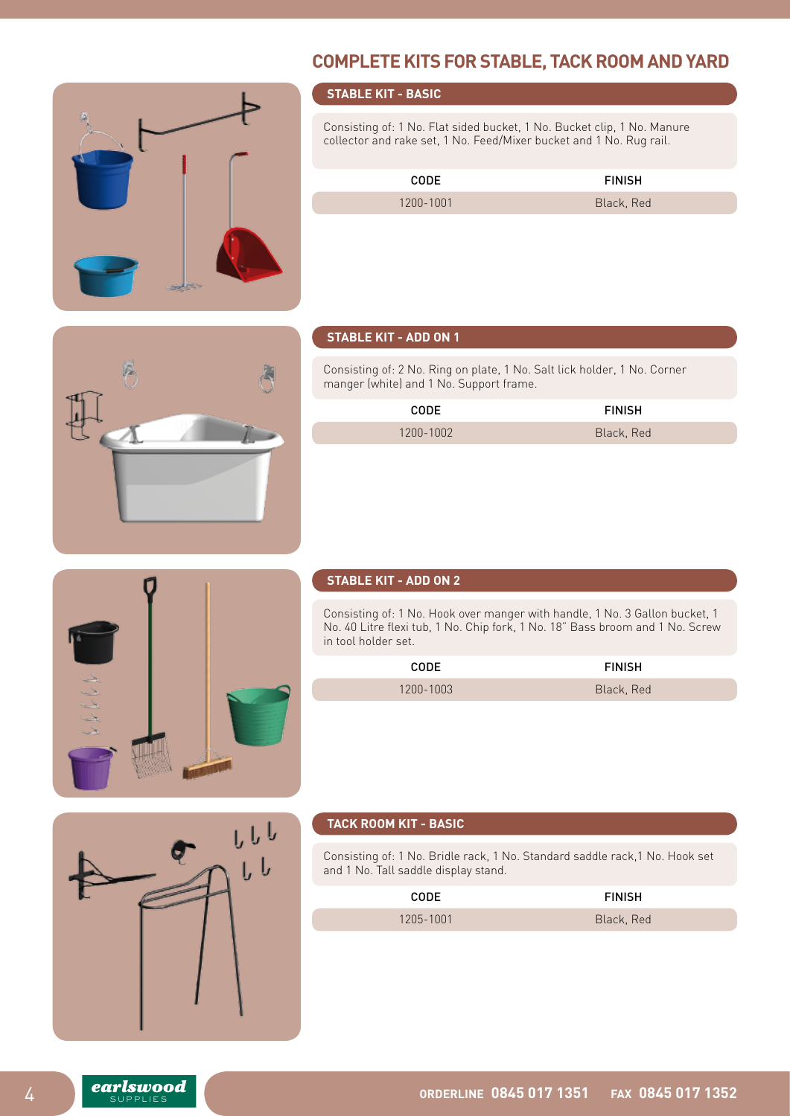# **COMPLETE KITS FOR STABLE, TACK ROOM AND YARD**



## **STABLE KIT - BASIC**

Consisting of: 1 No. Flat sided bucket, 1 No. Bucket clip, 1 No. Manure collector and rake set, 1 No. Feed/Mixer bucket and 1 No. Rug rail.

| <b>CODE</b> | <b>FINISH</b> |
|-------------|---------------|
| 1200-1001   | Black, Red    |

#### **STABLE KIT - ADD ON 1**

Consisting of: 2 No. Ring on plate, 1 No. Salt lick holder, 1 No. Corner manger (white) and 1 No. Support frame.

| <b>CODE</b> | <b>FINISH</b> |
|-------------|---------------|
| 1200-1002   | Black, Red    |



## **STABLE KIT - ADD ON 2**

Consisting of: 1 No. Hook over manger with handle, 1 No. 3 Gallon bucket, 1 No. 40 Litre flexi tub, 1 No. Chip fork, 1 No. 18" Bass broom and 1 No. Screw in tool holder set.

| <b>CODE</b> | <b>FINISH</b> |
|-------------|---------------|
| 1200-1003   | Black, Red    |



#### **TACK ROOM KIT - BASIC**

Consisting of: 1 No. Bridle rack, 1 No. Standard saddle rack,1 No. Hook set and 1 No. Tall saddle display stand.

| <b>CODE</b> | <b>FINISH</b> |
|-------------|---------------|
| 1205-1001   | Black, Red    |